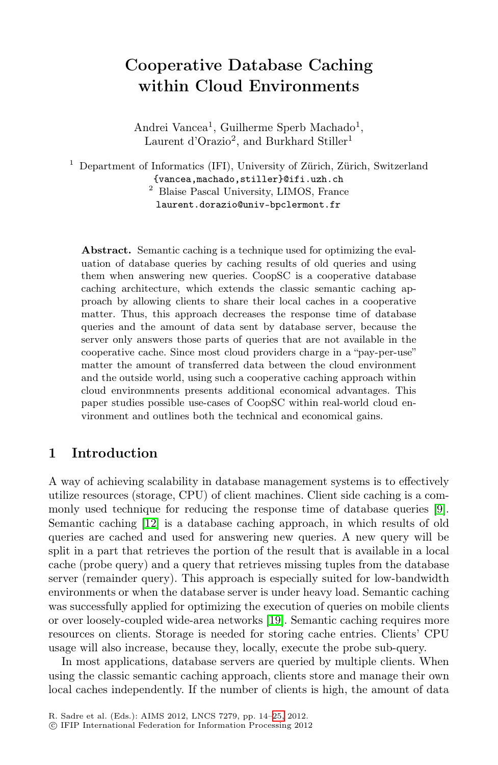# Cooperative Database Caching within Cloud Environments

Andrei Vancea<sup>1</sup>, Guilherme Sperb Machado<sup>1</sup>, Laurent d'Orazio<sup>2</sup>, and Burkhard Stiller<sup>1</sup>

<sup>1</sup> Department of Informatics (IFI), University of Zürich, Zürich, Switzerland {vancea,machado,stiller}@ifi.uzh.ch <sup>2</sup> Blaise Pascal University, LIMOS, France laurent.dorazio@univ-bpclermont.fr

Abstract. Semantic caching is a technique used for optimizing the evaluation of database queries by caching results of old queries and using them when answering new queries. CoopSC is a cooperative database caching architecture, which extends the classic semantic caching approach by allowing clients to share their local caches in a cooperative matter. Thus, this approach decreases the response time of database queries and the amount of data sent by database server, because the server only answers those parts of queries that are not available in the cooperative cache. Since most cloud providers charge in a "pay-per-use" matter the amount of transferred data between the cloud environment and the outside world, using such a cooperative caching approach within cloud environmnents presents additional economical advantages. This paper studies possible use-cases of CoopSC within real-world cloud environment and outlines both the technical and economical gains.

# 1 Introduction

A way of achieving scalability in database management systems is to effectively utilize resources (storage, CPU) of client machines. Client side caching is a commonly used technique for reducing the response time of database queries [\[9\]](#page-10-0). Semantic caching [\[12\]](#page-11-0) is a database caching approach, in which results of old queries are cached and used for answering new queries. A new query will be split in a part that retrieves the portion of the result that is available in a local cache (probe query) and a query that retrieves missing tuples from the database server (remainder query). This approach is especially suited for low-bandwidth environments or when the database server is under heavy load. Semantic caching was successfully applied for optimizing the execution of queries on mobile clients or over loosely-coupled wide-area networks [\[19\]](#page-11-1). Semantic caching requires more resources on clients. Storage is needed for storing cache entries. Clients' CPU usage will also increase, because they, locally, execute the probe sub-query.

In most applications, database servers are queried by multiple clients. When using the classic semantic caching approach, clients store and manage their own local caches independently. If the number of clients is high, the amount of data

<sup>-</sup>c IFIP International Federation for Information Processing 2012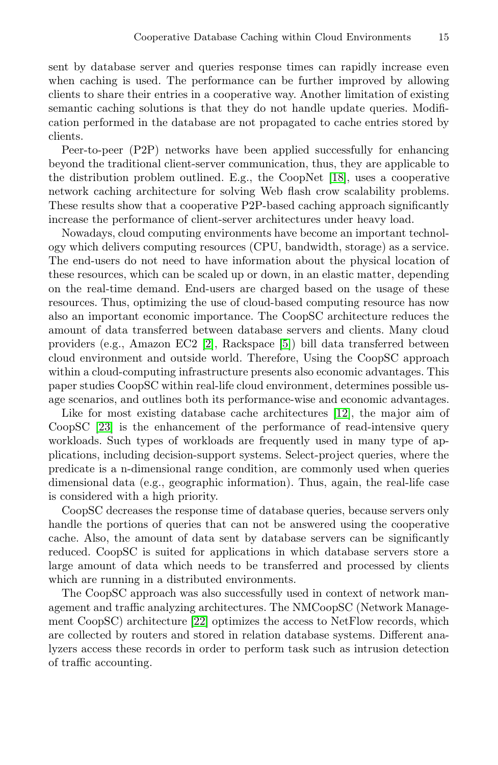sent by database server and queries response times can rapidly increase even when caching is used. The performance can be further improved by allowing clients to share their entries in a cooperative way. Another limitation of existing semantic caching solutions is that they do not handle update queries. Modification performed in the database are not propagated to cache entries stored by clients.

Peer-to-peer (P2P) networks have been applied successfully for enhancing beyond the traditional client-server communication, thus, they are applicable to the distribution problem outlined. E.g., the CoopNet [\[18\]](#page-11-3), uses a cooperative network caching architecture for solving Web flash crow scalability problems. These results show that a cooperative P2P-based caching approach significantly increase the performance of client-server architectures under heavy load.

Nowadays, cloud computing environments have become an important technology which delivers computing resources (CPU, bandwidth, storage) as a service. The end-users do not need to have information about the physical location of these resources, which can be scaled up or down, in an elastic matter, depending on the real-time demand. End-users are charged based on the usage of these resources. Thus, optimizing the use of cloud-based computing resource has now also an important economic importance. The CoopSC architecture reduces the amount of data transferred between database servers and clients. Many cloud providers (e.g., Amazon EC2 [\[2\]](#page-10-1), Rackspace [\[5\]](#page-10-2)) bill data transferred between cloud environment and outside world. Therefore, Using the CoopSC approach within a cloud-computing infrastructure presents also economic advantages. This paper studies CoopSC within real-life cloud environment, determines possible usage scenarios, and outlines both its performance-wise and economic advantages.

Like for most existing database cache architectures [\[12\]](#page-11-0), the major aim of CoopSC [\[23\]](#page-11-4) is the enhancement of the performance of read-intensive query workloads. Such types of workloads are frequently used in many type of applications, including decision-support systems. Select-project queries, where the predicate is a n-dimensional range condition, are commonly used when queries dimensional data (e.g., geographic information). Thus, again, the real-life case is considered with a high priority.

CoopSC decreases the response time of database queries, because servers only handle the portions of queries that can not be answered using the cooperative cache. Also, the amount of data sent by database servers can be significantly reduced. CoopSC is suited for applications in which database servers store a large amount of data which needs to be transferred and processed by clients which are running in a distributed environments.

The CoopSC approach was also successfully used in context of network management and traffic analyzing architectures. The NMCoopSC (Network Management CoopSC) architecture [\[22\]](#page-11-5) optimizes the access to NetFlow records, which are collected by routers and stored in relation database systems. Different analyzers access these records in order to perform task such as intrusion detection of traffic accounting.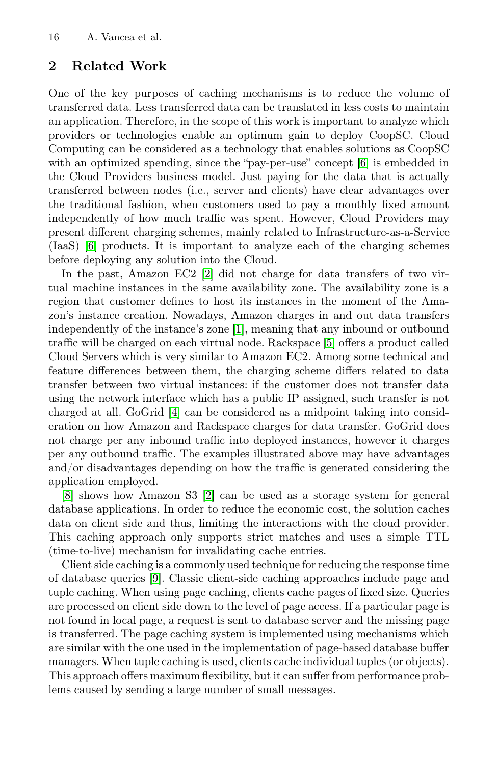# 2 Related Work

One of the key purposes of caching mechanisms is to reduce the volume of transferred data. Less transferred data can be translated in less costs to maintain an application. Therefore, in the scope of this work is important to analyze which providers or technologies enable an optimum gain to deploy CoopSC. Cloud Computing can be considered as a technology that enables solutions as CoopSC with an optimized spending, since the "pay-per-use" concept [\[6\]](#page-10-3) is embedded in the Cloud Providers business model. Just paying for the data that is actually transferred between nodes (i.e., server and clients) have clear advantages over the traditional fashion, when customers used to pay a monthly fixed amount independently of how much traffic was spent. However, Cloud Providers may present different charging schemes, mainly related to Infrastructure-as-a-Service (IaaS) [\[6\]](#page-10-3) products. It is important to analyze each of the charging schemes before deploying any solution into the Cloud.

In the past, Amazon EC2 [\[2\]](#page-10-1) did not charge for data transfers of two virtual machine instances in the same availability zone. The availability zone is a region that customer defines to host its instances in the moment of the Amazon's instance creation. Nowadays, Amazon charges in and out data transfers independently of the instance's zone [\[1\]](#page-10-4), meaning that any inbound or outbound traffic will be charged on each virtual node. Rackspace [\[5\]](#page-10-2) offers a product called Cloud Servers which is very similar to Amazon EC2. Among some technical and feature differences between them, the charging scheme differs related to data transfer between two virtual instances: if the customer does not transfer data using the network interface which has a public IP assigned, such transfer is not charged at all. GoGrid [\[4\]](#page-10-5) can be considered as a midpoint taking into consideration on how Amazon and Rackspace charges for data transfer. GoGrid does not charge per any inbound traffic into deployed instances, however it charges per any outbound traffic. The examples illustrated above may have advantages and/or disadvantages depending on how the traffic is generated considering the application employed.

[\[8\]](#page-10-6) shows how Amazon S3 [\[2\]](#page-10-1) can be used as a storage system for general database applications. In order to reduce the economic cost, the solution caches data on client side and thus, limiting the interactions with the cloud provider. This caching approach only supports strict matches and uses a simple TTL (time-to-live) mechanism for invalidating cache entries.

Client side caching is a commonly used technique for reducing the response time of database queries [\[9\]](#page-10-0). Classic client-side caching approaches include page and tuple caching. When using page caching, clients cache pages of fixed size. Queries are processed on client side down to the level of page access. If a particular page is not found in local page, a request is sent to database server and the missing page is transferred. The page caching system is implemented using mechanisms which are similar with the one used in the implementation of page-based database buffer managers. When tuple caching is used, clients cache individual tuples (or objects). This approach offers maximum flexibility, but it can suffer from performance problems caused by sending a large number of small messages.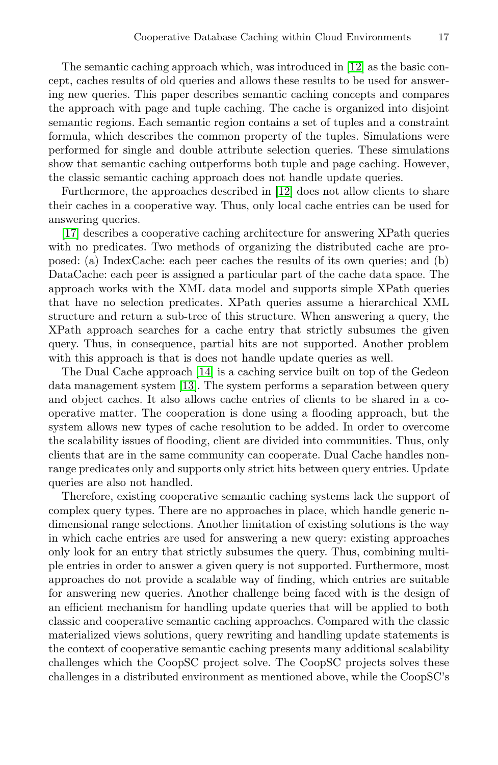The semantic caching approach which, was introduced in [\[12\]](#page-11-0) as the basic concept, caches results of old queries and allows these results to be used for answering new queries. This paper describes semantic caching concepts and compares the approach with page and tuple caching. The cache is organized into disjoint semantic regions. Each semantic region contains a set of tuples and a constraint formula, which describes the common property of the tuples. Simulations were performed for single and double attribute selection queries. These simulations show that semantic caching outperforms both tuple and page caching. However, the classic semantic caching approach does not handle update queries.

Furthermore, the approaches described in [\[12\]](#page-11-0) does not allow clients to share their caches in a cooperative way. Thus, only local cache entries can be used for answering queries.

[\[17\]](#page-11-6) describes a cooperative caching architecture for answering XPath queries with no predicates. Two methods of organizing the distributed cache are proposed: (a) IndexCache: each peer caches the results of its own queries; and (b) DataCache: each peer is assigned a particular part of the cache data space. The approach works with the XML data model and supports simple XPath queries that have no selection predicates. XPath queries assume a hierarchical XML structure and return a sub-tree of this structure. When answering a query, the XPath approach searches for a cache entry that strictly subsumes the given query. Thus, in consequence, partial hits are not supported. Another problem with this approach is that is does not handle update queries as well.

The Dual Cache approach [\[14\]](#page-11-7) is a caching service built on top of the Gedeon data management system [\[13\]](#page-11-8). The system performs a separation between query and object caches. It also allows cache entries of clients to be shared in a cooperative matter. The cooperation is done using a flooding approach, but the system allows new types of cache resolution to be added. In order to overcome the scalability issues of flooding, client are divided into communities. Thus, only clients that are in the same community can cooperate. Dual Cache handles nonrange predicates only and supports only strict hits between query entries. Update queries are also not handled.

Therefore, existing cooperative semantic caching systems lack the support of complex query types. There are no approaches in place, which handle generic ndimensional range selections. Another limitation of existing solutions is the way in which cache entries are used for answering a new query: existing approaches only look for an entry that strictly subsumes the query. Thus, combining multiple entries in order to answer a given query is not supported. Furthermore, most approaches do not provide a scalable way of finding, which entries are suitable for answering new queries. Another challenge being faced with is the design of an efficient mechanism for handling update queries that will be applied to both classic and cooperative semantic caching approaches. Compared with the classic materialized views solutions, query rewriting and handling update statements is the context of cooperative semantic caching presents many additional scalability challenges which the CoopSC project solve. The CoopSC projects solves these challenges in a distributed environment as mentioned above, while the CoopSC's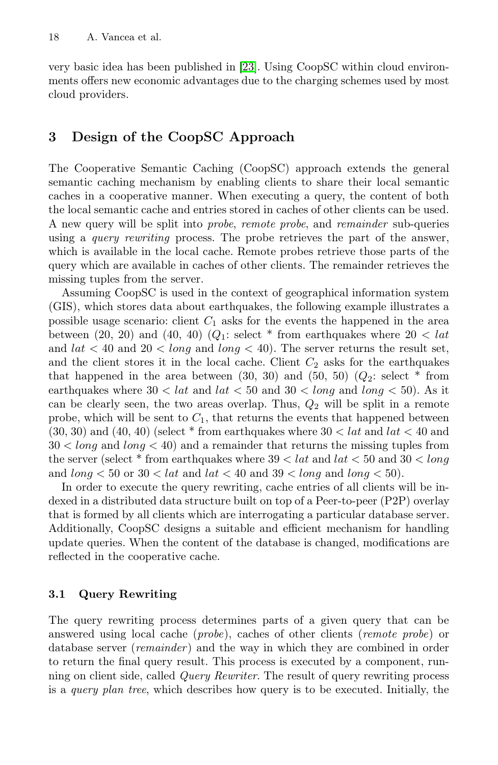very basic idea has been published in [\[23\]](#page-11-4). Using CoopSC within cloud environments offers new economic advantages due to the charging schemes used by most cloud providers.

## 3 Design of the CoopSC Approach

The Cooperative Semantic Caching (CoopSC) approach extends the general semantic caching mechanism by enabling clients to share their local semantic caches in a cooperative manner. When executing a query, the content of both the local semantic cache and entries stored in caches of other clients can be used. A new query will be split into *probe*, *remote probe*, and *remainder* sub-queries using a *query rewriting* process. The probe retrieves the part of the answer, which is available in the local cache. Remote probes retrieve those parts of the query which are available in caches of other clients. The remainder retrieves the missing tuples from the server.

Assuming CoopSC is used in the context of geographical information system (GIS), which stores data about earthquakes, the following example illustrates a possible usage scenario: client *C*<sup>1</sup> asks for the events the happened in the area between  $(20, 20)$  and  $(40, 40)$   $(Q_1$ : select \* from earthquakes where  $20 < lat$ and  $lat < 40$  and  $20 < long$  and  $long < 40$ ). The server returns the result set, and the client stores it in the local cache. Client *C*<sup>2</sup> asks for the earthquakes that happened in the area between  $(30, 30)$  and  $(50, 50)$   $(Q_2:$  select  $*$  from earthquakes where  $30 < lat$  and  $lat < 50$  and  $30 < long$  and  $long < 50$ ). As it can be clearly seen, the two areas overlap. Thus, *Q*<sup>2</sup> will be split in a remote probe, which will be sent to  $C_1$ , that returns the events that happened between  $(30, 30)$  and  $(40, 40)$  (select  $*$  from earthquakes where  $30 < lat$  and  $lat < 40$  and 30 *< long* and *long <* 40) and a remainder that returns the missing tuples from the server (select \* from earthquakes where 39 *< lat* and *lat <* 50 and 30 *< long* and  $\log \epsilon < 50$  or  $30 < \text{lat}$  and  $\text{lat} < 40$  and  $39 < \log \text{and } \log \epsilon < 50$ .

In order to execute the query rewriting, cache entries of all clients will be indexed in a distributed data structure built on top of a Peer-to-peer (P2P) overlay that is formed by all clients which are interrogating a particular database server. Additionally, CoopSC designs a suitable and efficient mechanism for handling update queries. When the content of the database is changed, modifications are reflected in the cooperative cache.

#### 3.1 Query Rewriting

The query rewriting process determines parts of a given query that can be answered using local cache (*probe*), caches of other clients (*remote probe*) or database server (*remainder* ) and the way in which they are combined in order to return the final query result. This process is executed by a component, running on client side, called *Query Rewriter*. The result of query rewriting process is a *query plan tree*, which describes how query is to be executed. Initially, the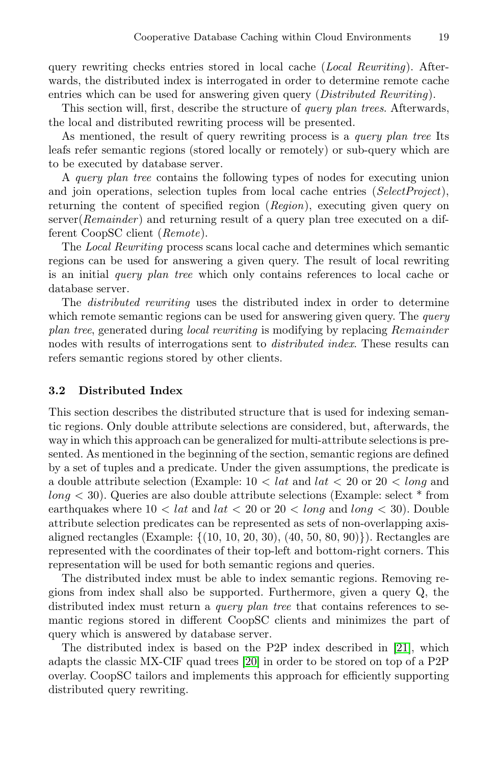query rewriting checks entries stored in local cache (*Local Rewriting*). Afterwards, the distributed index is interrogated in order to determine remote cache entries which can be used for answering given query (*Distributed Rewriting*).

This section will, first, describe the structure of *query plan trees*. Afterwards, the local and distributed rewriting process will be presented.

As mentioned, the result of query rewriting process is a *query plan tree* Its leafs refer semantic regions (stored locally or remotely) or sub-query which are to be executed by database server.

A *query plan tree* contains the following types of nodes for executing union and join operations, selection tuples from local cache entries (*SelectProject*), returning the content of specified region (*Region*), executing given query on server(*Remainder* ) and returning result of a query plan tree executed on a different CoopSC client (*Remote*).

The *Local Rewriting* process scans local cache and determines which semantic regions can be used for answering a given query. The result of local rewriting is an initial *query plan tree* which only contains references to local cache or database server.

The *distributed rewriting* uses the distributed index in order to determine which remote semantic regions can be used for answering given query. The *query plan tree*, generated during *local rewriting* is modifying by replacing *Remainder* nodes with results of interrogations sent to *distributed index*. These results can refers semantic regions stored by other clients.

#### 3.2 Distributed Index

This section describes the distributed structure that is used for indexing semantic regions. Only double attribute selections are considered, but, afterwards, the way in which this approach can be generalized for multi-attribute selections is presented. As mentioned in the beginning of the section, semantic regions are defined by a set of tuples and a predicate. Under the given assumptions, the predicate is a double attribute selection (Example: 10 *< lat* and *lat <* 20 or 20 *< long* and *long <* 30). Queries are also double attribute selections (Example: select \* from earthquakes where 10 *< lat* and *lat <* 20 or 20 *< long* and *long <* 30). Double attribute selection predicates can be represented as sets of non-overlapping axisaligned rectangles (Example:  $\{(10, 10, 20, 30), (40, 50, 80, 90)\}\$ ). Rectangles are represented with the coordinates of their top-left and bottom-right corners. This representation will be used for both semantic regions and queries.

The distributed index must be able to index semantic regions. Removing regions from index shall also be supported. Furthermore, given a query Q, the distributed index must return a *query plan tree* that contains references to semantic regions stored in different CoopSC clients and minimizes the part of query which is answered by database server.

The distributed index is based on the P2P index described in [\[21\]](#page-11-9), which adapts the classic MX-CIF quad trees [\[20\]](#page-11-10) in order to be stored on top of a P2P overlay. CoopSC tailors and implements this approach for efficiently supporting distributed query rewriting.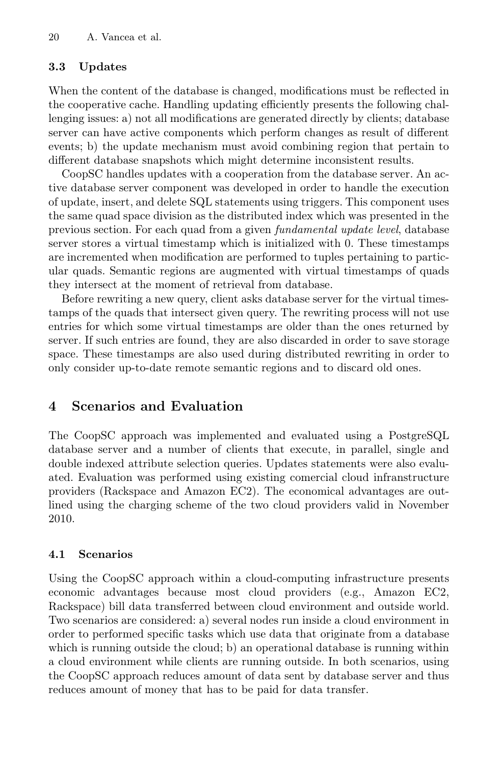## 3.3 Updates

When the content of the database is changed, modifications must be reflected in the cooperative cache. Handling updating efficiently presents the following challenging issues: a) not all modifications are generated directly by clients; database server can have active components which perform changes as result of different events; b) the update mechanism must avoid combining region that pertain to different database snapshots which might determine inconsistent results.

CoopSC handles updates with a cooperation from the database server. An active database server component was developed in order to handle the execution of update, insert, and delete SQL statements using triggers. This component uses the same quad space division as the distributed index which was presented in the previous section. For each quad from a given *fundamental update level*, database server stores a virtual timestamp which is initialized with 0. These timestamps are incremented when modification are performed to tuples pertaining to particular quads. Semantic regions are augmented with virtual timestamps of quads they intersect at the moment of retrieval from database.

Before rewriting a new query, client asks database server for the virtual timestamps of the quads that intersect given query. The rewriting process will not use entries for which some virtual timestamps are older than the ones returned by server. If such entries are found, they are also discarded in order to save storage space. These timestamps are also used during distributed rewriting in order to only consider up-to-date remote semantic regions and to discard old ones.

# 4 Scenarios and Evaluation

The CoopSC approach was implemented and evaluated using a PostgreSQL database server and a number of clients that execute, in parallel, single and double indexed attribute selection queries. Updates statements were also evaluated. Evaluation was performed using existing comercial cloud infranstructure providers (Rackspace and Amazon EC2). The economical advantages are outlined using the charging scheme of the two cloud providers valid in November 2010.

#### 4.1 Scenarios

Using the CoopSC approach within a cloud-computing infrastructure presents economic advantages because most cloud providers (e.g., Amazon EC2, Rackspace) bill data transferred between cloud environment and outside world. Two scenarios are considered: a) several nodes run inside a cloud environment in order to performed specific tasks which use data that originate from a database which is running outside the cloud; b) an operational database is running within a cloud environment while clients are running outside. In both scenarios, using the CoopSC approach reduces amount of data sent by database server and thus reduces amount of money that has to be paid for data transfer.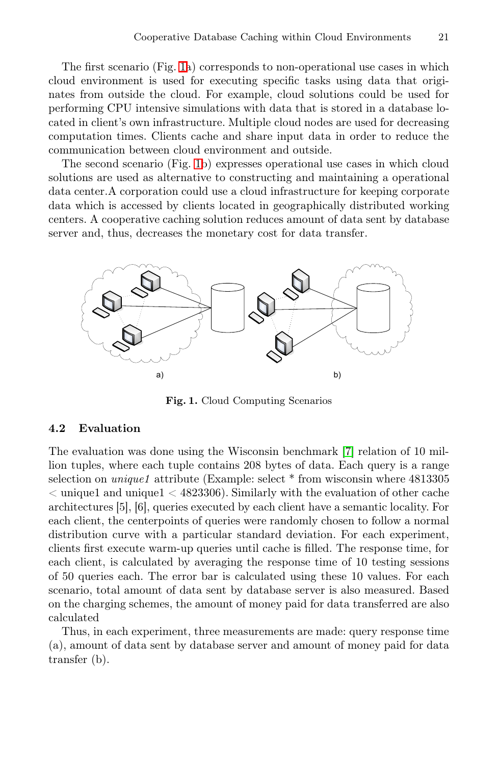The first scenario (Fig. [1a](#page-7-0)) corresponds to non-operational use cases in which cloud environment is used for executing specific tasks using data that originates from outside the cloud. For example, cloud solutions could be used for performing CPU intensive simulations with data that is stored in a database located in client's own infrastructure. Multiple cloud nodes are used for decreasing computation times. Clients cache and share input data in order to reduce the communication between cloud environment and outside.

The second scenario (Fig. [1b](#page-7-0)) expresses operational use cases in which cloud solutions are used as alternative to constructing and maintaining a operational data center.A corporation could use a cloud infrastructure for keeping corporate data which is accessed by clients located in geographically distributed working centers. A cooperative caching solution reduces amount of data sent by database server and, thus, decreases the monetary cost for data transfer.



<span id="page-7-0"></span>Fig. 1. Cloud Computing Scenarios

#### 4.2 Evaluation

The evaluation was done using the Wisconsin benchmark [\[7\]](#page-10-7) relation of 10 million tuples, where each tuple contains 208 bytes of data. Each query is a range selection on *unique1* attribute (Example: select \* from wisconsin where  $4813305$  $\alpha$  unique1 and unique1  $\alpha$  4823306). Similarly with the evaluation of other cache architectures [5], [6], queries executed by each client have a semantic locality. For each client, the centerpoints of queries were randomly chosen to follow a normal distribution curve with a particular standard deviation. For each experiment, clients first execute warm-up queries until cache is filled. The response time, for each client, is calculated by averaging the response time of 10 testing sessions of 50 queries each. The error bar is calculated using these 10 values. For each scenario, total amount of data sent by database server is also measured. Based on the charging schemes, the amount of money paid for data transferred are also calculated

Thus, in each experiment, three measurements are made: query response time (a), amount of data sent by database server and amount of money paid for data transfer (b).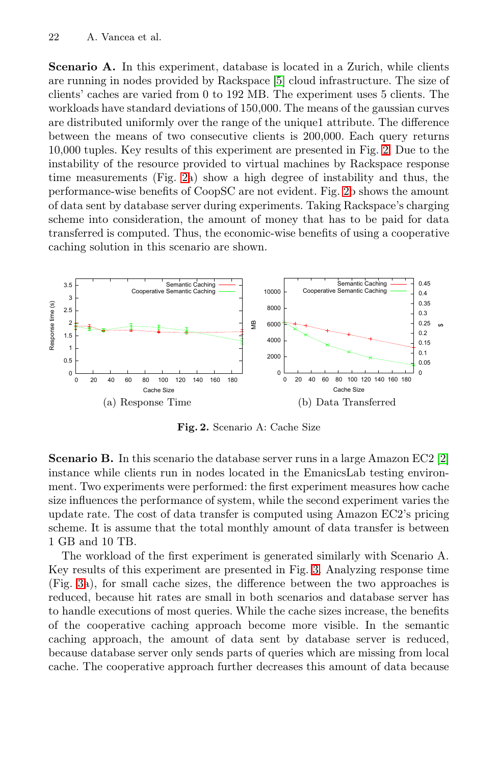Scenario A. In this experiment, database is located in a Zurich, while clients are running in nodes provided by Rackspace [\[5\]](#page-10-2) cloud infrastructure. The size of clients' caches are varied from 0 to 192 MB. The experiment uses 5 clients. The workloads have standard deviations of 150,000. The means of the gaussian curves are distributed uniformly over the range of the unique1 attribute. The difference between the means of two consecutive clients is 200,000. Each query returns 10,000 tuples. Key results of this experiment are presented in Fig. [2.](#page-8-0) Due to the instability of the resource provided to virtual machines by Rackspace response time measurements (Fig. [2a](#page-8-0)) show a high degree of instability and thus, the performance-wise benefits of CoopSC are not evident. Fig. [2b](#page-8-0) shows the amount of data sent by database server during experiments. Taking Rackspace's charging scheme into consideration, the amount of money that has to be paid for data transferred is computed. Thus, the economic-wise benefits of using a cooperative caching solution in this scenario are shown.



<span id="page-8-0"></span>Fig. 2. Scenario A: Cache Size

Scenario B. In this scenario the database server runs in a large Amazon EC2 [\[2\]](#page-10-1) instance while clients run in nodes located in the EmanicsLab testing environment. Two experiments were performed: the first experiment measures how cache size influences the performance of system, while the second experiment varies the update rate. The cost of data transfer is computed using Amazon EC2's pricing scheme. It is assume that the total monthly amount of data transfer is between 1 GB and 10 TB.

The workload of the first experiment is generated similarly with Scenario A. Key results of this experiment are presented in Fig. [3.](#page-9-0) Analyzing response time (Fig. [3a](#page-9-0)), for small cache sizes, the difference between the two approaches is reduced, because hit rates are small in both scenarios and database server has to handle executions of most queries. While the cache sizes increase, the benefits of the cooperative caching approach become more visible. In the semantic caching approach, the amount of data sent by database server is reduced, because database server only sends parts of queries which are missing from local cache. The cooperative approach further decreases this amount of data because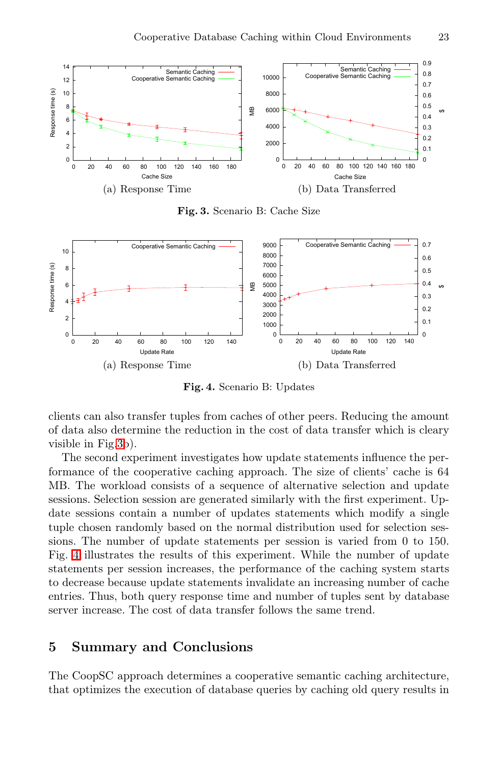

<span id="page-9-1"></span><span id="page-9-0"></span>Fig. 3. Scenario B: Cache Size



Fig. 4. Scenario B: Updates

clients can also transfer tuples from caches of other peers. Reducing the amount of data also determine the reduction in the cost of data transfer which is cleary visible in Fig[.3b](#page-9-0)).

The second experiment investigates how update statements influence the performance of the cooperative caching approach. The size of clients' cache is 64 MB. The workload consists of a sequence of alternative selection and update sessions. Selection session are generated similarly with the first experiment. Update sessions contain a number of updates statements which modify a single tuple chosen randomly based on the normal distribution used for selection sessions. The number of update statements per session is varied from 0 to 150. Fig. [4](#page-9-1) illustrates the results of this experiment. While the number of update statements per session increases, the performance of the caching system starts to decrease because update statements invalidate an increasing number of cache entries. Thus, both query response time and number of tuples sent by database server increase. The cost of data transfer follows the same trend.

## 5 Summary and Conclusions

The CoopSC approach determines a cooperative semantic caching architecture, that optimizes the execution of database queries by caching old query results in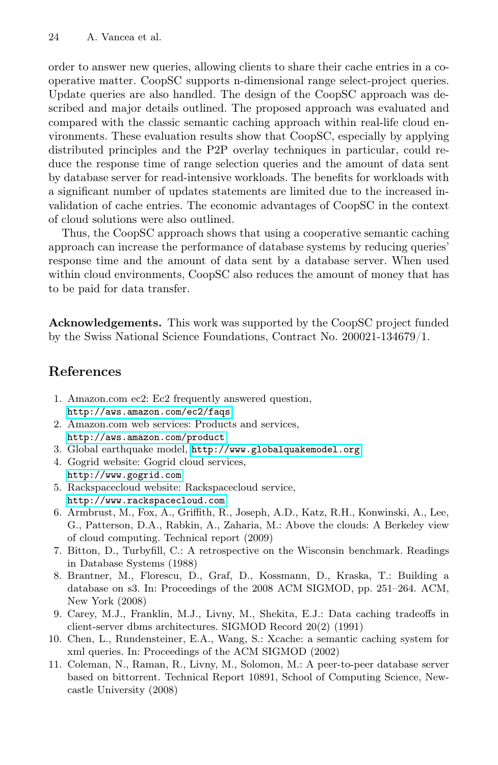order to answer new queries, allowing clients to share their cache entries in a cooperative matter. CoopSC supports n-dimensional range select-project queries. Update queries are also handled. The design of the CoopSC approach was described and major details outlined. The proposed approach was evaluated and compared with the classic semantic caching approach within real-life cloud environments. These evaluation results show that CoopSC, especially by applying distributed principles and the P2P overlay techniques in particular, could reduce the response time of range selection queries and the amount of data sent by database server for read-intensive workloads. The benefits for workloads with a significant number of updates statements are limited due to the increased invalidation of cache entries. The economic advantages of CoopSC in the context of cloud solutions were also outlined.

Thus, the CoopSC approach shows that using a cooperative semantic caching approach can increase the performance of database systems by reducing queries' response time and the amount of data sent by a database server. When used within cloud environments, CoopSC also reduces the amount of money that has to be paid for data transfer.

<span id="page-10-4"></span><span id="page-10-1"></span>Acknowledgements. This work was supported by the CoopSC project funded by the Swiss National Science Foundations, Contract No. 200021-134679/1.

# <span id="page-10-5"></span><span id="page-10-2"></span>References

- <span id="page-10-3"></span>1. Amazon.com ec2: Ec2 frequently answered question, <http://aws.amazon.com/ec2/faqs>
- <span id="page-10-7"></span>2. Amazon.com web services: Products and services, <http://aws.amazon.com/product>
- 3. Global earthquake model, <http://www.globalquakemodel.org>
- <span id="page-10-6"></span>4. Gogrid website: Gogrid cloud services, <http://www.gogrid.com>
- <span id="page-10-0"></span>5. Rackspacecloud website: Rackspacecloud service, <http://www.rackspacecloud.com>
- 6. Armbrust, M., Fox, A., Griffith, R., Joseph, A.D., Katz, R.H., Konwinski, A., Lee, G., Patterson, D.A., Rabkin, A., Zaharia, M.: Above the clouds: A Berkeley view of cloud computing. Technical report (2009)
- 7. Bitton, D., Turbyfill, C.: A retrospective on the Wisconsin benchmark. Readings in Database Systems (1988)
- 8. Brantner, M., Florescu, D., Graf, D., Kossmann, D., Kraska, T.: Building a database on s3. In: Proceedings of the 2008 ACM SIGMOD, pp. 251–264. ACM, New York (2008)
- 9. Carey, M.J., Franklin, M.J., Livny, M., Shekita, E.J.: Data caching tradeoffs in client-server dbms architectures. SIGMOD Record 20(2) (1991)
- 10. Chen, L., Rundensteiner, E.A., Wang, S.: Xcache: a semantic caching system for xml queries. In: Proceedings of the ACM SIGMOD (2002)
- 11. Coleman, N., Raman, R., Livny, M., Solomon, M.: A peer-to-peer database server based on bittorrent. Technical Report 10891, School of Computing Science, Newcastle University (2008)